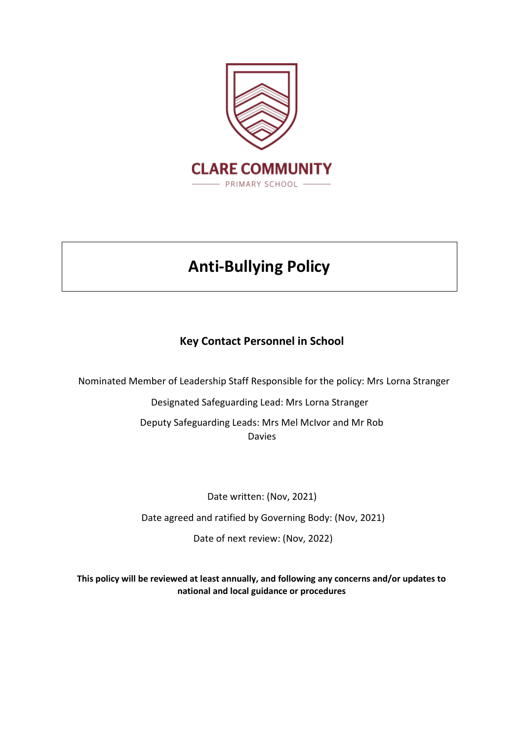

# **Anti-Bullying Policy**

# **Key Contact Personnel in School**

Nominated Member of Leadership Staff Responsible for the policy: Mrs Lorna Stranger

Designated Safeguarding Lead: Mrs Lorna Stranger Deputy Safeguarding Leads: Mrs Mel McIvor and Mr Rob Davies

Date written: (Nov, 2021) Date agreed and ratified by Governing Body: (Nov, 2021) Date of next review: (Nov, 2022)

**This policy will be reviewed at least annually, and following any concerns and/or updates to national and local guidance or procedures**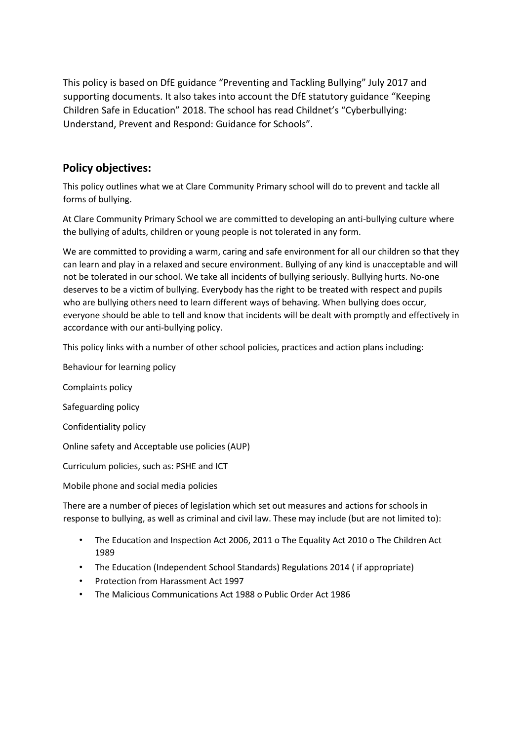This policy is based on DfE guidance "Preventing and Tackling Bullying" July 2017 and supporting documents. It also takes into account the DfE statutory guidance "Keeping Children Safe in Education" 2018. The school has read Childnet's "Cyberbullying: Understand, Prevent and Respond: Guidance for Schools".

## **Policy objectives:**

This policy outlines what we at Clare Community Primary school will do to prevent and tackle all forms of bullying.

At Clare Community Primary School we are committed to developing an anti-bullying culture where the bullying of adults, children or young people is not tolerated in any form.

We are committed to providing a warm, caring and safe environment for all our children so that they can learn and play in a relaxed and secure environment. Bullying of any kind is unacceptable and will not be tolerated in our school. We take all incidents of bullying seriously. Bullying hurts. No-one deserves to be a victim of bullying. Everybody has the right to be treated with respect and pupils who are bullying others need to learn different ways of behaving. When bullying does occur, everyone should be able to tell and know that incidents will be dealt with promptly and effectively in accordance with our anti-bullying policy.

This policy links with a number of other school policies, practices and action plans including:

Behaviour for learning policy

Complaints policy

Safeguarding policy

Confidentiality policy

Online safety and Acceptable use policies (AUP)

Curriculum policies, such as: PSHE and ICT

Mobile phone and social media policies

There are a number of pieces of legislation which set out measures and actions for schools in response to bullying, as well as criminal and civil law. These may include (but are not limited to):

- The Education and Inspection Act 2006, 2011 o The Equality Act 2010 o The Children Act 1989
- The Education (Independent School Standards) Regulations 2014 ( if appropriate)
- Protection from Harassment Act 1997
- The Malicious Communications Act 1988 o Public Order Act 1986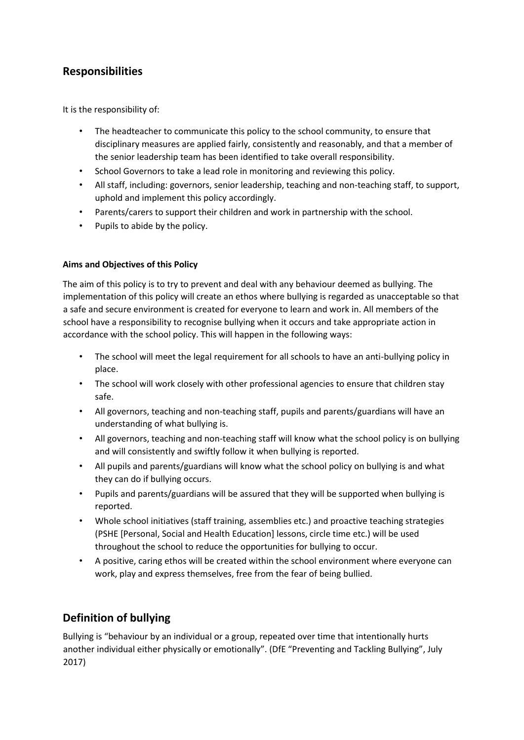## **Responsibilities**

It is the responsibility of:

- The headteacher to communicate this policy to the school community, to ensure that disciplinary measures are applied fairly, consistently and reasonably, and that a member of the senior leadership team has been identified to take overall responsibility.
- School Governors to take a lead role in monitoring and reviewing this policy.
- All staff, including: governors, senior leadership, teaching and non-teaching staff, to support, uphold and implement this policy accordingly.
- Parents/carers to support their children and work in partnership with the school.
- Pupils to abide by the policy.

## **Aims and Objectives of this Policy**

The aim of this policy is to try to prevent and deal with any behaviour deemed as bullying. The implementation of this policy will create an ethos where bullying is regarded as unacceptable so that a safe and secure environment is created for everyone to learn and work in. All members of the school have a responsibility to recognise bullying when it occurs and take appropriate action in accordance with the school policy. This will happen in the following ways:

- The school will meet the legal requirement for all schools to have an anti-bullying policy in place.
- The school will work closely with other professional agencies to ensure that children stay safe.
- All governors, teaching and non-teaching staff, pupils and parents/guardians will have an understanding of what bullying is.
- All governors, teaching and non-teaching staff will know what the school policy is on bullying and will consistently and swiftly follow it when bullying is reported.
- All pupils and parents/guardians will know what the school policy on bullying is and what they can do if bullying occurs.
- Pupils and parents/guardians will be assured that they will be supported when bullying is reported.
- Whole school initiatives (staff training, assemblies etc.) and proactive teaching strategies (PSHE [Personal, Social and Health Education] lessons, circle time etc.) will be used throughout the school to reduce the opportunities for bullying to occur.
- A positive, caring ethos will be created within the school environment where everyone can work, play and express themselves, free from the fear of being bullied.

# **Definition of bullying**

Bullying is "behaviour by an individual or a group, repeated over time that intentionally hurts another individual either physically or emotionally". (DfE "Preventing and Tackling Bullying", July 2017)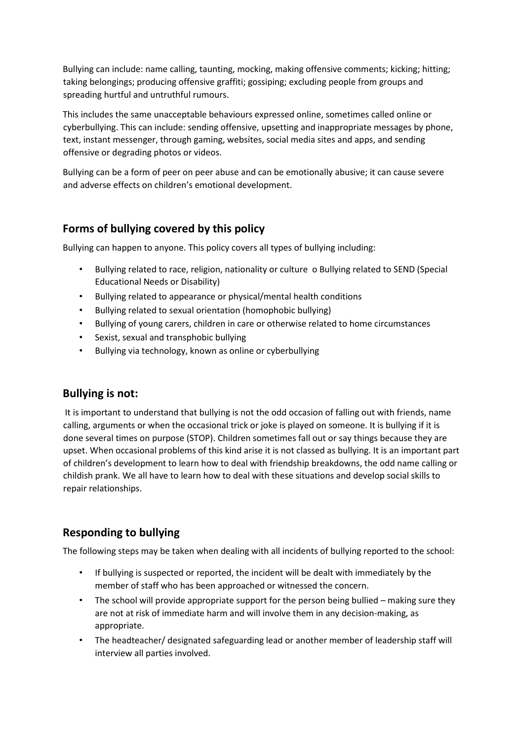Bullying can include: name calling, taunting, mocking, making offensive comments; kicking; hitting; taking belongings; producing offensive graffiti; gossiping; excluding people from groups and spreading hurtful and untruthful rumours.

This includes the same unacceptable behaviours expressed online, sometimes called online or cyberbullying. This can include: sending offensive, upsetting and inappropriate messages by phone, text, instant messenger, through gaming, websites, social media sites and apps, and sending offensive or degrading photos or videos.

Bullying can be a form of peer on peer abuse and can be emotionally abusive; it can cause severe and adverse effects on children's emotional development.

## **Forms of bullying covered by this policy**

Bullying can happen to anyone. This policy covers all types of bullying including:

- Bullying related to race, religion, nationality or culture o Bullying related to SEND (Special Educational Needs or Disability)
- Bullying related to appearance or physical/mental health conditions
- Bullying related to sexual orientation (homophobic bullying)
- Bullying of young carers, children in care or otherwise related to home circumstances
- Sexist, sexual and transphobic bullying
- Bullying via technology, known as online or cyberbullying

## **Bullying is not:**

It is important to understand that bullying is not the odd occasion of falling out with friends, name calling, arguments or when the occasional trick or joke is played on someone. It is bullying if it is done several times on purpose (STOP). Children sometimes fall out or say things because they are upset. When occasional problems of this kind arise it is not classed as bullying. It is an important part of children's development to learn how to deal with friendship breakdowns, the odd name calling or childish prank. We all have to learn how to deal with these situations and develop social skills to repair relationships.

# **Responding to bullying**

The following steps may be taken when dealing with all incidents of bullying reported to the school:

- If bullying is suspected or reported, the incident will be dealt with immediately by the member of staff who has been approached or witnessed the concern.
- The school will provide appropriate support for the person being bullied making sure they are not at risk of immediate harm and will involve them in any decision-making, as appropriate.
- The headteacher/ designated safeguarding lead or another member of leadership staff will interview all parties involved.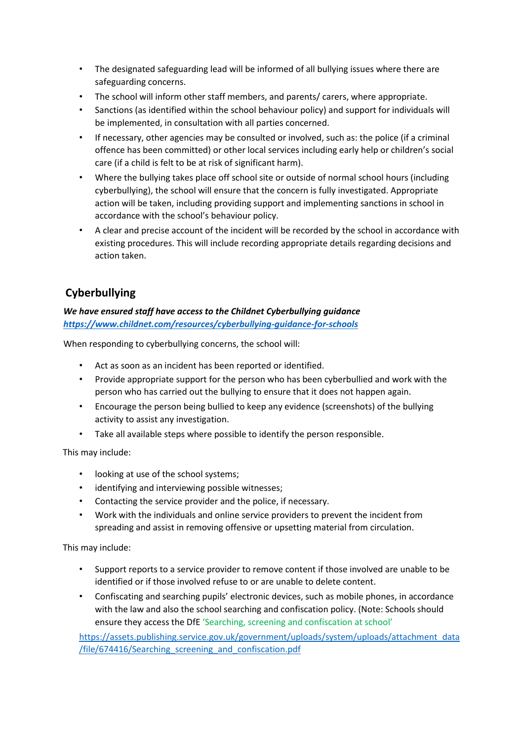- The designated safeguarding lead will be informed of all bullying issues where there are safeguarding concerns.
- The school will inform other staff members, and parents/ carers, where appropriate.
- Sanctions (as identified within the school behaviour policy) and support for individuals will be implemented, in consultation with all parties concerned.
- If necessary, other agencies may be consulted or involved, such as: the police (if a criminal offence has been committed) or other local services including early help or children's social care (if a child is felt to be at risk of significant harm).
- Where the bullying takes place off school site or outside of normal school hours (including cyberbullying), the school will ensure that the concern is fully investigated. Appropriate action will be taken, including providing support and implementing sanctions in school in accordance with the school's behaviour policy.
- A clear and precise account of the incident will be recorded by the school in accordance with existing procedures. This will include recording appropriate details regarding decisions and action taken.

# **Cyberbullying**

## *We have ensured staff have access to the Childnet Cyberbullying guidance <https://www.childnet.com/resources/cyberbullying-guidance-for-schools>*

When responding to cyberbullying concerns, the school will:

- Act as soon as an incident has been reported or identified.
- Provide appropriate support for the person who has been cyberbullied and work with the person who has carried out the bullying to ensure that it does not happen again.
- Encourage the person being bullied to keep any evidence (screenshots) of the bullying activity to assist any investigation.
- Take all available steps where possible to identify the person responsible.

This may include:

- looking at use of the school systems;
- identifying and interviewing possible witnesses;
- Contacting the service provider and the police, if necessary.
- Work with the individuals and online service providers to prevent the incident from spreading and assist in removing offensive or upsetting material from circulation.

This may include:

- Support reports to a service provider to remove content if those involved are unable to be identified or if those involved refuse to or are unable to delete content.
- Confiscating and searching pupils' electronic devices, such as mobile phones, in accordance with the law and also the school searching and confiscation policy. (Note: Schools should ensure they access the DfE 'Searching, screening and confiscation at school'

[https://assets.publishing.service.gov.uk/government/uploads/system/uploads/attachment\\_data](https://assets.publishing.service.gov.uk/government/uploads/system/uploads/attachment_data/file/674416/Searching_screening_and_confiscation.pdf) [/file/674416/Searching\\_screening\\_and\\_confiscation.pdf](https://assets.publishing.service.gov.uk/government/uploads/system/uploads/attachment_data/file/674416/Searching_screening_and_confiscation.pdf)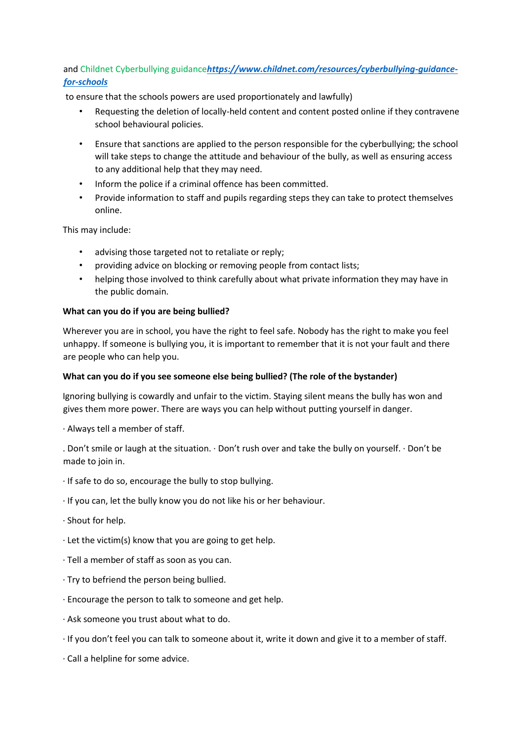## and Childnet Cyberbullying guidance*[https://www.childnet.com/resources/cyberbullying-guidance](https://www.childnet.com/resources/cyberbullying-guidance-for-schools)[for-schools](https://www.childnet.com/resources/cyberbullying-guidance-for-schools)*

to ensure that the schools powers are used proportionately and lawfully)

- Requesting the deletion of locally-held content and content posted online if they contravene school behavioural policies.
- Ensure that sanctions are applied to the person responsible for the cyberbullying; the school will take steps to change the attitude and behaviour of the bully, as well as ensuring access to any additional help that they may need.
- Inform the police if a criminal offence has been committed.
- Provide information to staff and pupils regarding steps they can take to protect themselves online.

This may include:

- advising those targeted not to retaliate or reply;
- providing advice on blocking or removing people from contact lists;
- helping those involved to think carefully about what private information they may have in the public domain.

#### **What can you do if you are being bullied?**

Wherever you are in school, you have the right to feel safe. Nobody has the right to make you feel unhappy. If someone is bullying you, it is important to remember that it is not your fault and there are people who can help you.

#### **What can you do if you see someone else being bullied? (The role of the bystander)**

Ignoring bullying is cowardly and unfair to the victim. Staying silent means the bully has won and gives them more power. There are ways you can help without putting yourself in danger.

· Always tell a member of staff.

. Don't smile or laugh at the situation. · Don't rush over and take the bully on yourself. · Don't be made to join in.

- · If safe to do so, encourage the bully to stop bullying.
- · If you can, let the bully know you do not like his or her behaviour.
- · Shout for help.
- $\cdot$  Let the victim(s) know that you are going to get help.
- · Tell a member of staff as soon as you can.
- · Try to befriend the person being bullied.
- · Encourage the person to talk to someone and get help.
- · Ask someone you trust about what to do.
- · If you don't feel you can talk to someone about it, write it down and give it to a member of staff.
- · Call a helpline for some advice.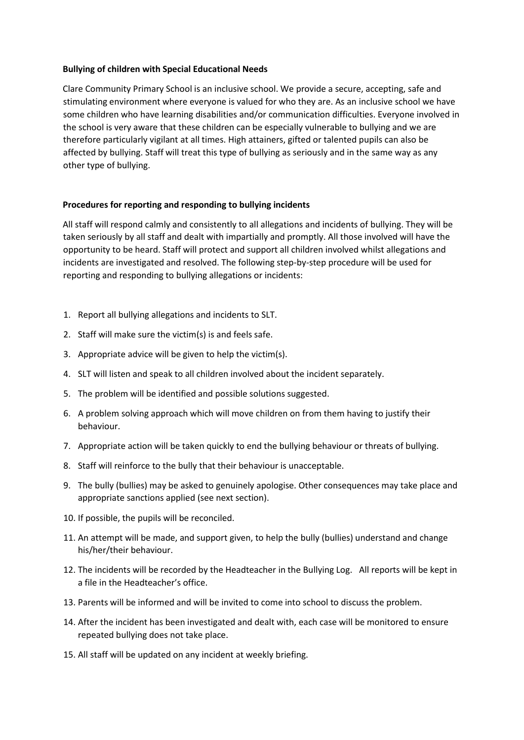#### **Bullying of children with Special Educational Needs**

Clare Community Primary School is an inclusive school. We provide a secure, accepting, safe and stimulating environment where everyone is valued for who they are. As an inclusive school we have some children who have learning disabilities and/or communication difficulties. Everyone involved in the school is very aware that these children can be especially vulnerable to bullying and we are therefore particularly vigilant at all times. High attainers, gifted or talented pupils can also be affected by bullying. Staff will treat this type of bullying as seriously and in the same way as any other type of bullying.

#### **Procedures for reporting and responding to bullying incidents**

All staff will respond calmly and consistently to all allegations and incidents of bullying. They will be taken seriously by all staff and dealt with impartially and promptly. All those involved will have the opportunity to be heard. Staff will protect and support all children involved whilst allegations and incidents are investigated and resolved. The following step-by-step procedure will be used for reporting and responding to bullying allegations or incidents:

- 1. Report all bullying allegations and incidents to SLT.
- 2. Staff will make sure the victim(s) is and feels safe.
- 3. Appropriate advice will be given to help the victim(s).
- 4. SLT will listen and speak to all children involved about the incident separately.
- 5. The problem will be identified and possible solutions suggested.
- 6. A problem solving approach which will move children on from them having to justify their behaviour.
- 7. Appropriate action will be taken quickly to end the bullying behaviour or threats of bullying.
- 8. Staff will reinforce to the bully that their behaviour is unacceptable.
- 9. The bully (bullies) may be asked to genuinely apologise. Other consequences may take place and appropriate sanctions applied (see next section).
- 10. If possible, the pupils will be reconciled.
- 11. An attempt will be made, and support given, to help the bully (bullies) understand and change his/her/their behaviour.
- 12. The incidents will be recorded by the Headteacher in the Bullying Log. All reports will be kept in a file in the Headteacher's office.
- 13. Parents will be informed and will be invited to come into school to discuss the problem.
- 14. After the incident has been investigated and dealt with, each case will be monitored to ensure repeated bullying does not take place.
- 15. All staff will be updated on any incident at weekly briefing.